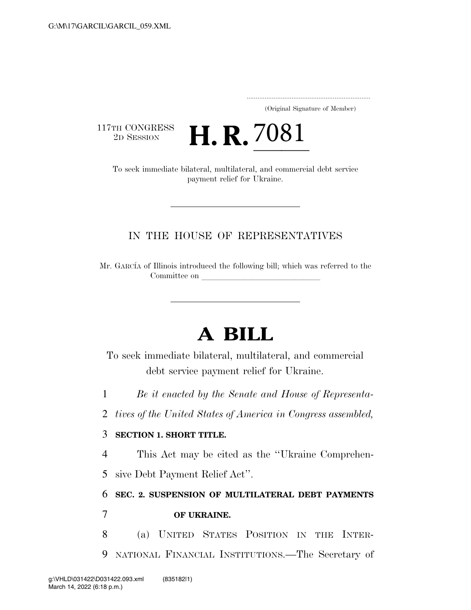..................................................................... (Original Signature of Member)

117TH CONGRESS<br>2D SESSION

TH CONGRESS **H. R. 7081**<br>To seek immediate bilateral, multilateral, and commercial debt service payment relief for Ukraine.

## IN THE HOUSE OF REPRESENTATIVES

Mr. GARCIA of Illinois introduced the following bill; which was referred to the Committee on

# **A BILL**

To seek immediate bilateral, multilateral, and commercial debt service payment relief for Ukraine.

1 *Be it enacted by the Senate and House of Representa-*

2 *tives of the United States of America in Congress assembled,* 

### 3 **SECTION 1. SHORT TITLE.**

4 This Act may be cited as the ''Ukraine Comprehen-

5 sive Debt Payment Relief Act''.

# 6 **SEC. 2. SUSPENSION OF MULTILATERAL DEBT PAYMENTS**  7 **OF UKRAINE.**

8 (a) UNITED STATES POSITION IN THE INTER-9 NATIONAL FINANCIAL INSTITUTIONS.—The Secretary of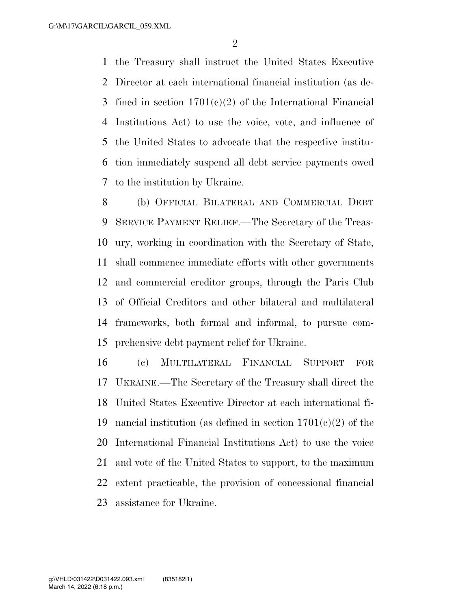the Treasury shall instruct the United States Executive Director at each international financial institution (as de- fined in section 1701(c)(2) of the International Financial Institutions Act) to use the voice, vote, and influence of the United States to advocate that the respective institu- tion immediately suspend all debt service payments owed to the institution by Ukraine.

 (b) OFFICIAL BILATERAL AND COMMERCIAL DEBT SERVICE PAYMENT RELIEF.—The Secretary of the Treas- ury, working in coordination with the Secretary of State, shall commence immediate efforts with other governments and commercial creditor groups, through the Paris Club of Official Creditors and other bilateral and multilateral frameworks, both formal and informal, to pursue com-prehensive debt payment relief for Ukraine.

 (c) MULTILATERAL FINANCIAL SUPPORT FOR UKRAINE.—The Secretary of the Treasury shall direct the United States Executive Director at each international fi-19 nancial institution (as defined in section  $1701(e)(2)$  of the International Financial Institutions Act) to use the voice and vote of the United States to support, to the maximum extent practicable, the provision of concessional financial assistance for Ukraine.